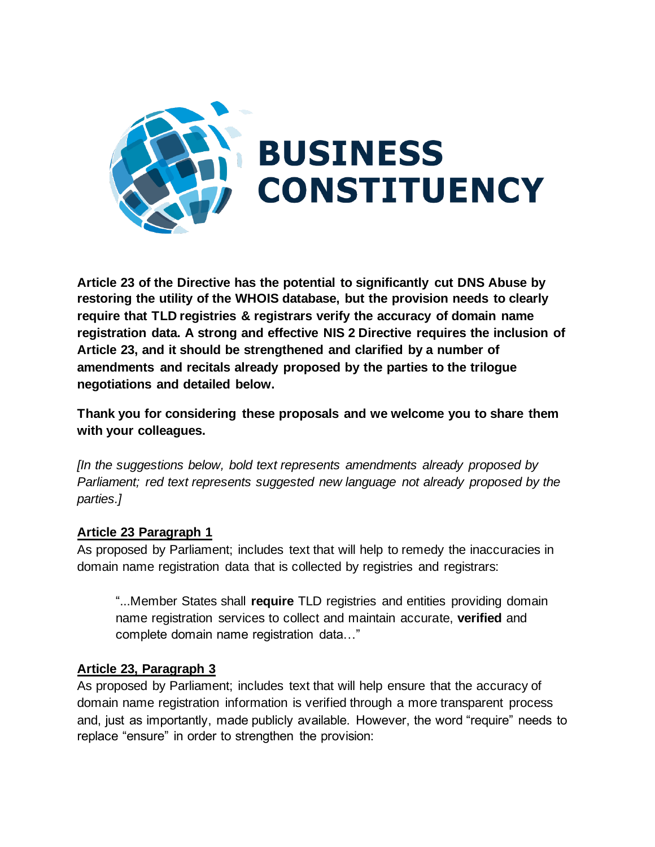

**Article 23 of the Directive has the potential to significantly cut DNS Abuse by restoring the utility of the WHOIS database, but the provision needs to clearly require that TLD registries & registrars verify the accuracy of domain name registration data. A strong and effective NIS 2 Directive requires the inclusion of Article 23, and it should be strengthened and clarified by a number of amendments and recitals already proposed by the parties to the trilogue negotiations and detailed below.**

**Thank you for considering these proposals and we welcome you to share them with your colleagues.**

*[In the suggestions below, bold text represents amendments already proposed by Parliament; red text represents suggested new language not already proposed by the parties.]*

## **Article 23 Paragraph 1**

As proposed by Parliament; includes text that will help to remedy the inaccuracies in domain name registration data that is collected by registries and registrars:

"...Member States shall **require** TLD registries and entities providing domain name registration services to collect and maintain accurate, **verified** and complete domain name registration data…"

## **Article 23, Paragraph 3**

As proposed by Parliament; includes text that will help ensure that the accuracy of domain name registration information is verified through a more transparent process and, just as importantly, made publicly available. However, the word "require" needs to replace "ensure" in order to strengthen the provision: